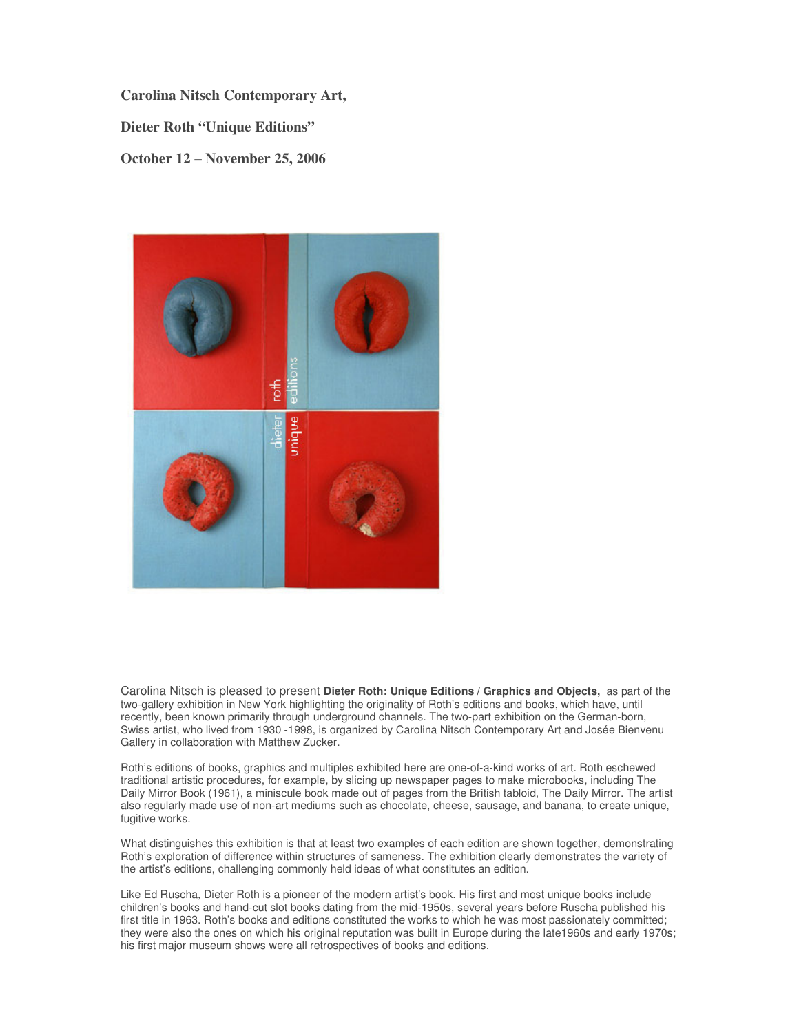**Carolina Nitsch Contemporary Art,** 

**Dieter Roth "Unique Editions"** 

**October 12 – November 25, 2006** 



Carolina Nitsch is pleased to present **Dieter Roth: Unique Editions / Graphics and Objects,** as part of the two-gallery exhibition in New York highlighting the originality of Roth's editions and books, which have, until recently, been known primarily through underground channels. The two-part exhibition on the German-born, Swiss artist, who lived from 1930 -1998, is organized by Carolina Nitsch Contemporary Art and Josée Bienvenu Gallery in collaboration with Matthew Zucker.

Roth's editions of books, graphics and multiples exhibited here are one-of-a-kind works of art. Roth eschewed traditional artistic procedures, for example, by slicing up newspaper pages to make microbooks, including The Daily Mirror Book (1961), a miniscule book made out of pages from the British tabloid, The Daily Mirror. The artist also regularly made use of non-art mediums such as chocolate, cheese, sausage, and banana, to create unique, fugitive works.

What distinguishes this exhibition is that at least two examples of each edition are shown together, demonstrating Roth's exploration of difference within structures of sameness. The exhibition clearly demonstrates the variety of the artist's editions, challenging commonly held ideas of what constitutes an edition.

Like Ed Ruscha, Dieter Roth is a pioneer of the modern artist's book. His first and most unique books include children's books and hand-cut slot books dating from the mid-1950s, several years before Ruscha published his first title in 1963. Roth's books and editions constituted the works to which he was most passionately committed; they were also the ones on which his original reputation was built in Europe during the late1960s and early 1970s; his first major museum shows were all retrospectives of books and editions.